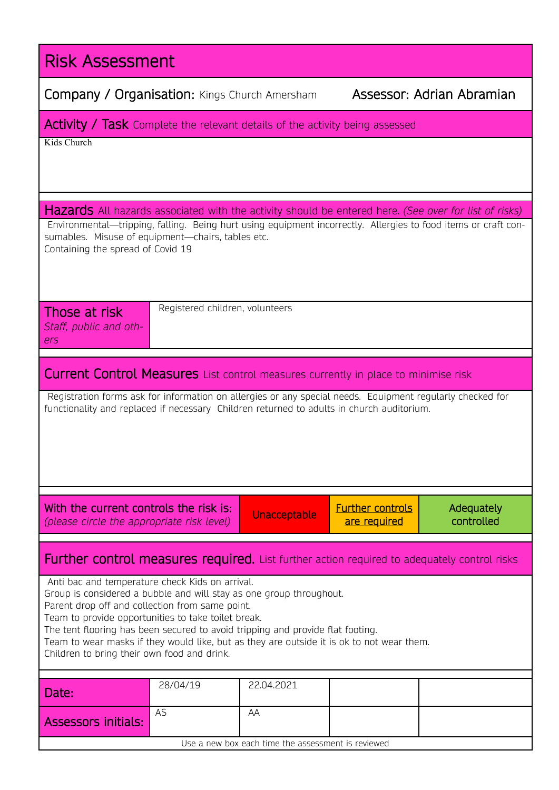| <b>Risk Assessment</b>                                                                                                                                                                                                                                                                                                                                                                                                                                         |                                 |              |                                         |                           |  |  |  |  |
|----------------------------------------------------------------------------------------------------------------------------------------------------------------------------------------------------------------------------------------------------------------------------------------------------------------------------------------------------------------------------------------------------------------------------------------------------------------|---------------------------------|--------------|-----------------------------------------|---------------------------|--|--|--|--|
| <b>Company / Organisation: Kings Church Amersham</b>                                                                                                                                                                                                                                                                                                                                                                                                           |                                 |              |                                         | Assessor: Adrian Abramian |  |  |  |  |
| <b>Activity / Task</b> Complete the relevant details of the activity being assessed                                                                                                                                                                                                                                                                                                                                                                            |                                 |              |                                         |                           |  |  |  |  |
| Kids Church                                                                                                                                                                                                                                                                                                                                                                                                                                                    |                                 |              |                                         |                           |  |  |  |  |
| Hazards All hazards associated with the activity should be entered here. (See over for list of risks)                                                                                                                                                                                                                                                                                                                                                          |                                 |              |                                         |                           |  |  |  |  |
| Environmental—tripping, falling. Being hurt using equipment incorrectly. Allergies to food items or craft con-<br>sumables. Misuse of equipment-chairs, tables etc.<br>Containing the spread of Covid 19                                                                                                                                                                                                                                                       |                                 |              |                                         |                           |  |  |  |  |
| Those at risk<br>Staff, public and oth-<br>ers                                                                                                                                                                                                                                                                                                                                                                                                                 | Registered children, volunteers |              |                                         |                           |  |  |  |  |
| <b>Current Control Measures</b> List control measures currently in place to minimise risk                                                                                                                                                                                                                                                                                                                                                                      |                                 |              |                                         |                           |  |  |  |  |
| Registration forms ask for information on allergies or any special needs. Equipment regularly checked for<br>functionality and replaced if necessary Children returned to adults in church auditorium.                                                                                                                                                                                                                                                         |                                 |              |                                         |                           |  |  |  |  |
| With the current controls the risk is:<br>(please circle the appropriate risk level)                                                                                                                                                                                                                                                                                                                                                                           |                                 | Unacceptable | <b>Further controls</b><br>are required | Adequately<br>controlled  |  |  |  |  |
| <b>Further control measures required.</b> List further action required to adequately control risks                                                                                                                                                                                                                                                                                                                                                             |                                 |              |                                         |                           |  |  |  |  |
| Anti bac and temperature check Kids on arrival.<br>Group is considered a bubble and will stay as one group throughout.<br>Parent drop off and collection from same point.<br>Team to provide opportunities to take toilet break.<br>The tent flooring has been secured to avoid tripping and provide flat footing.<br>Team to wear masks if they would like, but as they are outside it is ok to not wear them.<br>Children to bring their own food and drink. |                                 |              |                                         |                           |  |  |  |  |
| Date:                                                                                                                                                                                                                                                                                                                                                                                                                                                          | 28/04/19                        | 22.04.2021   |                                         |                           |  |  |  |  |
| AS<br><b>Assessors initials:</b>                                                                                                                                                                                                                                                                                                                                                                                                                               |                                 | AA           |                                         |                           |  |  |  |  |
| Use a new box each time the assessment is reviewed                                                                                                                                                                                                                                                                                                                                                                                                             |                                 |              |                                         |                           |  |  |  |  |